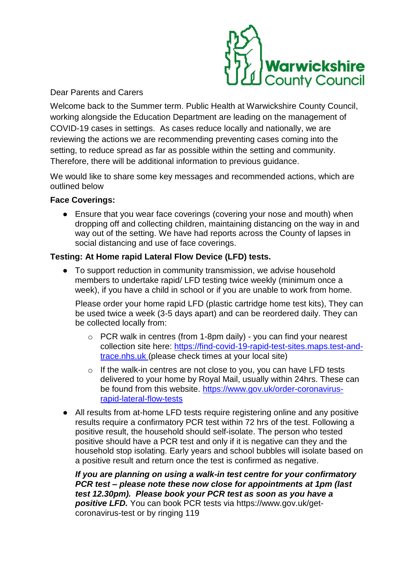

# Dear Parents and Carers

Welcome back to the Summer term. Public Health at Warwickshire County Council, working alongside the Education Department are leading on the management of COVID-19 cases in settings. As cases reduce locally and nationally, we are reviewing the actions we are recommending preventing cases coming into the setting, to reduce spread as far as possible within the setting and community. Therefore, there will be additional information to previous guidance.

We would like to share some key messages and recommended actions, which are outlined below

# **Face Coverings:**

• Ensure that you wear face coverings (covering your nose and mouth) when dropping off and collecting children, maintaining distancing on the way in and way out of the setting. We have had reports across the County of lapses in social distancing and use of face coverings.

# **Testing: At Home rapid Lateral Flow Device (LFD) tests.**

• To support reduction in community transmission, we advise household members to undertake rapid/ LFD testing twice weekly (minimum once a week), if you have a child in school or if you are unable to work from home.

Please order your home rapid LFD (plastic cartridge home test kits), They can be used twice a week (3-5 days apart) and can be reordered daily. They can be collected locally from:

- $\circ$  PCR walk in centres (from 1-8pm daily) you can find your nearest collection site here: [https://find-covid-19-rapid-test-sites.maps.test-and](https://find-covid-19-rapid-test-sites.maps.test-and-trace.nhs.uk/)[trace.nhs.uk](https://find-covid-19-rapid-test-sites.maps.test-and-trace.nhs.uk/) (please check times at your local site)
- o If the walk-in centres are not close to you, you can have LFD tests delivered to your home by Royal Mail, usually within 24hrs. These can be found from this website. [https://www.gov.uk/order-coronavirus](https://www.gov.uk/order-coronavirus-rapid-lateral-flow-tests)[rapid-lateral-flow-tests](https://www.gov.uk/order-coronavirus-rapid-lateral-flow-tests)
- All results from at-home LFD tests require registering online and any positive results require a confirmatory PCR test within 72 hrs of the test. Following a positive result, the household should self-isolate. The person who tested positive should have a PCR test and only if it is negative can they and the household stop isolating. Early years and school bubbles will isolate based on a positive result and return once the test is confirmed as negative.

*If you are planning on using a walk-in test centre for your confirmatory PCR test – please note these now close for appointments at 1pm (last test 12.30pm). Please book your PCR test as soon as you have a positive LFD.* You can book PCR tests via https://www.gov.uk/getcoronavirus-test or by ringing 119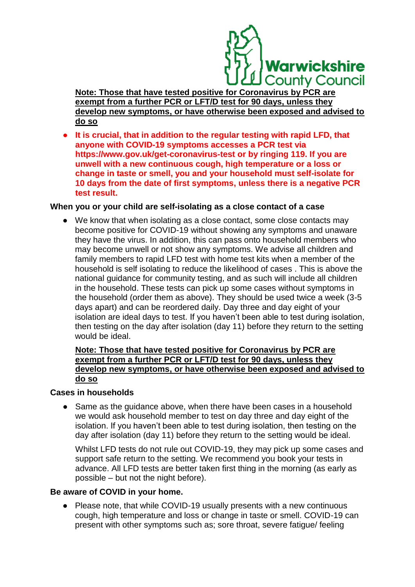

**Note: Those that have tested positive for Coronavirus by PCR are exempt from a further PCR or LFT/D test for 90 days, unless they develop new symptoms, or have otherwise been exposed and advised to do so**

It is crucial, that in addition to the regular testing with rapid LFD, that **anyone with COVID-19 symptoms accesses a PCR test via https://www.gov.uk/get-coronavirus-test or by ringing 119. If you are unwell with a new continuous cough, high temperature or a loss or change in taste or smell, you and your household must self-isolate for 10 days from the date of first symptoms, unless there is a negative PCR test result.** 

#### **When you or your child are self-isolating as a close contact of a case**

● We know that when isolating as a close contact, some close contacts may become positive for COVID-19 without showing any symptoms and unaware they have the virus. In addition, this can pass onto household members who may become unwell or not show any symptoms. We advise all children and family members to rapid LFD test with home test kits when a member of the household is self isolating to reduce the likelihood of cases . This is above the national guidance for community testing, and as such will include all children in the household. These tests can pick up some cases without symptoms in the household (order them as above). They should be used twice a week (3-5 days apart) and can be reordered daily. Day three and day eight of your isolation are ideal days to test. If you haven't been able to test during isolation, then testing on the day after isolation (day 11) before they return to the setting would be ideal.

## **Note: Those that have tested positive for Coronavirus by PCR are exempt from a further PCR or LFT/D test for 90 days, unless they develop new symptoms, or have otherwise been exposed and advised to do so**

#### **Cases in households**

• Same as the guidance above, when there have been cases in a household we would ask household member to test on day three and day eight of the isolation. If you haven't been able to test during isolation, then testing on the day after isolation (day 11) before they return to the setting would be ideal.

Whilst LFD tests do not rule out COVID-19, they may pick up some cases and support safe return to the setting. We recommend you book your tests in advance. All LFD tests are better taken first thing in the morning (as early as possible – but not the night before).

## **Be aware of COVID in your home.**

● Please note, that while COVID-19 usually presents with a new continuous cough, high temperature and loss or change in taste or smell. COVID-19 can present with other symptoms such as; sore throat, severe fatigue/ feeling